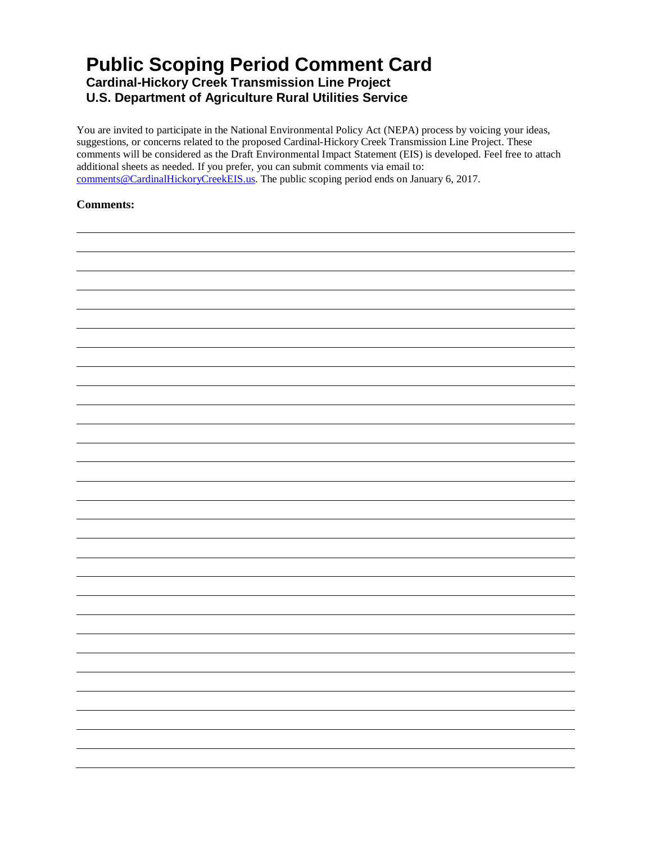## **Public Scoping Period Comment Card**

**Cardinal-Hickory Creek Transmission Line Project**

**U.S. Department of Agriculture Rural Utilities Service**

You are invited to participate in the National Environmental Policy Act (NEPA) process by voicing your ideas, suggestions, or concerns related to the proposed Cardinal-Hickory Creek Transmission Line Project. These comments will be considered as the Draft Environmental Impact Statement (EIS) is developed. Feel free to attach additional sheets as needed. If you prefer, you can submit comments via email to: [comments@CardinalHickoryCreekEIS.us.](mailto:comments@CardinalHickoryCreekEIS.us) The public scoping period ends on January 6, 2017.

## **Comments:**